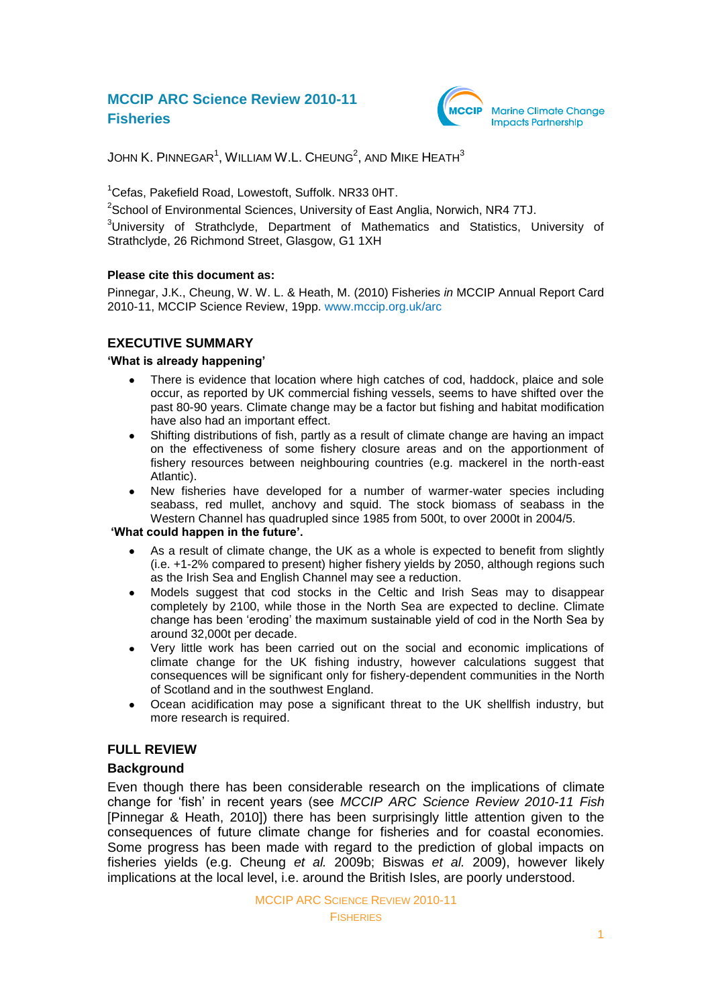# **MCCIP ARC Science Review 2010-11 Fisheries**



JOHN K. PINNEGAR $^{\rm 1}$ , WILLIAM W.L. CHEUNG $^{\rm 2}$ , AND MIKE <code>HEATH $^{\rm 3}$ </code>

<sup>1</sup>Cefas, Pakefield Road, Lowestoft, Suffolk. NR33 0HT.

 $^{2}$ School of Environmental Sciences, University of East Anglia, Norwich, NR4 7TJ.

<sup>3</sup>University of Strathclyde, Department of Mathematics and Statistics, University of Strathclyde, 26 Richmond Street, Glasgow, G1 1XH

### **Please cite this document as:**

Pinnegar, J.K., Cheung, W. W. L. & Heath, M. (2010) Fisheries *in* MCCIP Annual Report Card 2010-11, MCCIP Science Review, 19pp. [www.mccip.org.uk/arc](http://www.mccip.org.uk/arc)

# **EXECUTIVE SUMMARY**

### **'What is already happening'**

- There is evidence that location where high catches of cod, haddock, plaice and sole occur, as reported by UK commercial fishing vessels, seems to have shifted over the past 80-90 years. Climate change may be a factor but fishing and habitat modification have also had an important effect.
- Shifting distributions of fish, partly as a result of climate change are having an impact  $\bullet$ on the effectiveness of some fishery closure areas and on the apportionment of fishery resources between neighbouring countries (e.g. mackerel in the north-east Atlantic).
- New fisheries have developed for a number of warmer-water species including seabass, red mullet, anchovy and squid. The stock biomass of seabass in the Western Channel has quadrupled since 1985 from 500t, to over 2000t in 2004/5.

#### **'What could happen in the future'.**

- As a result of climate change, the UK as a whole is expected to benefit from slightly (i.e. +1-2% compared to present) higher fishery yields by 2050, although regions such as the Irish Sea and English Channel may see a reduction.
- Models suggest that cod stocks in the Celtic and Irish Seas may to disappear completely by 2100, while those in the North Sea are expected to decline. Climate change has been 'eroding' the maximum sustainable yield of cod in the North Sea by around 32,000t per decade.
- Very little work has been carried out on the social and economic implications of  $\bullet$ climate change for the UK fishing industry, however calculations suggest that consequences will be significant only for fishery-dependent communities in the North of Scotland and in the southwest England.
- Ocean acidification may pose a significant threat to the UK shellfish industry, but  $\bullet$ more research is required.

# **FULL REVIEW**

# **Background**

Even though there has been considerable research on the implications of climate change for ‗fish' in recent years (see *MCCIP ARC Science Review 2010-11 Fish* [Pinnegar & Heath, 2010]) there has been surprisingly little attention given to the consequences of future climate change for fisheries and for coastal economies. Some progress has been made with regard to the prediction of global impacts on fisheries yields (e.g. Cheung *et al.* 2009b; Biswas *et al.* 2009), however likely implications at the local level, i.e. around the British Isles, are poorly understood.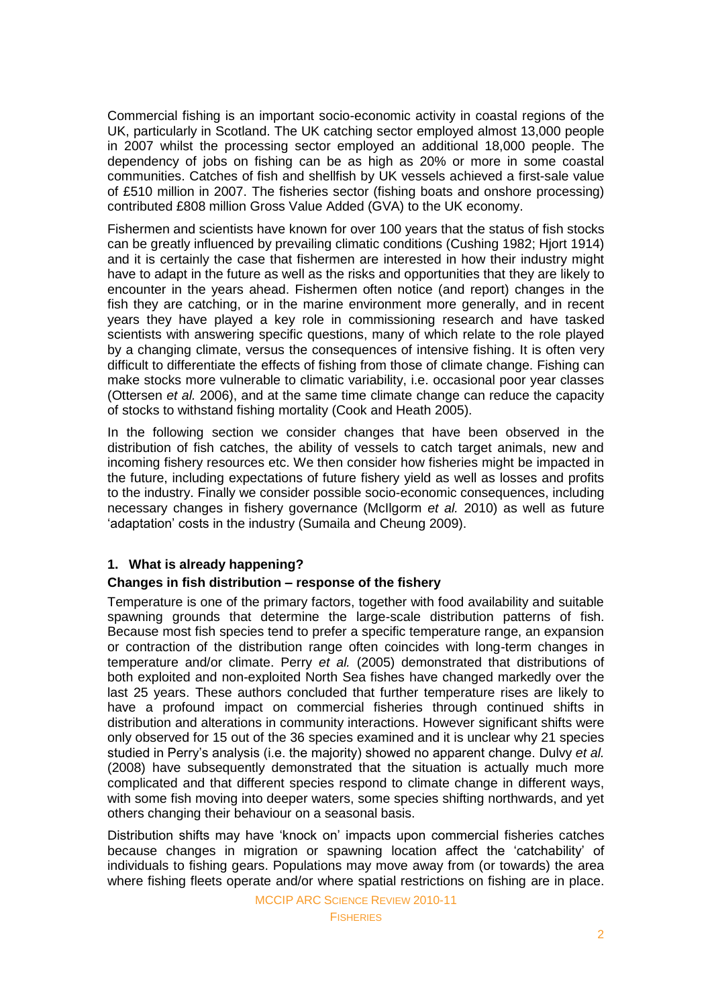Commercial fishing is an important socio-economic activity in coastal regions of the UK, particularly in Scotland. The UK catching sector employed almost 13,000 people in 2007 whilst the processing sector employed an additional 18,000 people. The dependency of jobs on fishing can be as high as 20% or more in some coastal communities. Catches of fish and shellfish by UK vessels achieved a first-sale value of £510 million in 2007. The fisheries sector (fishing boats and onshore processing) contributed £808 million Gross Value Added (GVA) to the UK economy.

Fishermen and scientists have known for over 100 years that the status of fish stocks can be greatly influenced by prevailing climatic conditions (Cushing 1982; Hjort 1914) and it is certainly the case that fishermen are interested in how their industry might have to adapt in the future as well as the risks and opportunities that they are likely to encounter in the years ahead. Fishermen often notice (and report) changes in the fish they are catching, or in the marine environment more generally, and in recent years they have played a key role in commissioning research and have tasked scientists with answering specific questions, many of which relate to the role played by a changing climate, versus the consequences of intensive fishing. It is often very difficult to differentiate the effects of fishing from those of climate change. Fishing can make stocks more vulnerable to climatic variability, i.e. occasional poor year classes (Ottersen *et al.* 2006), and at the same time climate change can reduce the capacity of stocks to withstand fishing mortality (Cook and Heath 2005).

In the following section we consider changes that have been observed in the distribution of fish catches, the ability of vessels to catch target animals, new and incoming fishery resources etc. We then consider how fisheries might be impacted in the future, including expectations of future fishery yield as well as losses and profits to the industry. Finally we consider possible socio-economic consequences, including necessary changes in fishery governance (McIlgorm *et al.* 2010) as well as future 'adaptation' costs in the industry (Sumaila and Cheung 2009).

# **1. What is already happening?**

### **Changes in fish distribution – response of the fishery**

Temperature is one of the primary factors, together with food availability and suitable spawning grounds that determine the large-scale distribution patterns of fish. Because most fish species tend to prefer a specific temperature range, an expansion or contraction of the distribution range often coincides with long-term changes in temperature and/or climate. Perry *et al.* (2005) demonstrated that distributions of both exploited and non-exploited North Sea fishes have changed markedly over the last 25 years. These authors concluded that further temperature rises are likely to have a profound impact on commercial fisheries through continued shifts in distribution and alterations in community interactions. However significant shifts were only observed for 15 out of the 36 species examined and it is unclear why 21 species studied in Perry's analysis (i.e. the majority) showed no apparent change. Dulvy *et al.* (2008) have subsequently demonstrated that the situation is actually much more complicated and that different species respond to climate change in different ways, with some fish moving into deeper waters, some species shifting northwards, and yet others changing their behaviour on a seasonal basis.

Distribution shifts may have 'knock on' impacts upon commercial fisheries catches because changes in migration or spawning location affect the 'catchability' of individuals to fishing gears. Populations may move away from (or towards) the area where fishing fleets operate and/or where spatial restrictions on fishing are in place.

MCCIP ARC SCIENCE REVIEW 2010-11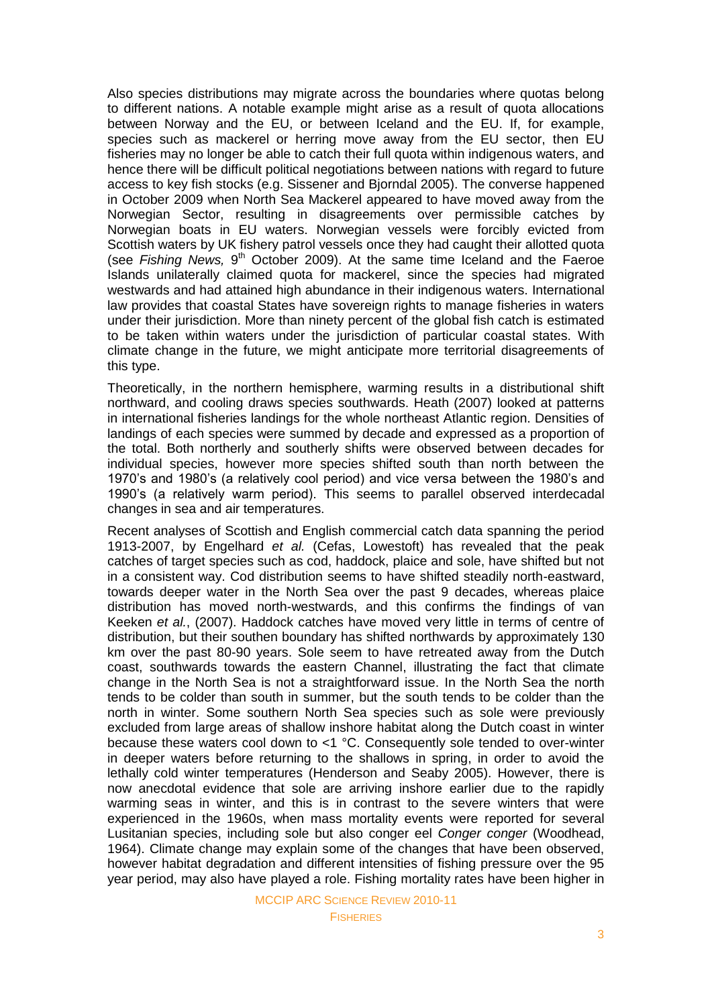Also species distributions may migrate across the boundaries where quotas belong to different nations. A notable example might arise as a result of quota allocations between Norway and the EU, or between Iceland and the EU. If, for example, species such as mackerel or herring move away from the EU sector, then EU fisheries may no longer be able to catch their full quota within indigenous waters, and hence there will be difficult political negotiations between nations with regard to future access to key fish stocks (e.g. Sissener and Bjorndal 2005). The converse happened in October 2009 when North Sea Mackerel appeared to have moved away from the Norwegian Sector, resulting in disagreements over permissible catches by Norwegian boats in EU waters. Norwegian vessels were forcibly evicted from Scottish waters by UK fishery patrol vessels once they had caught their allotted quota (see Fishing News, 9<sup>th</sup> October 2009). At the same time Iceland and the Faeroe Islands unilaterally claimed quota for mackerel, since the species had migrated westwards and had attained high abundance in their indigenous waters. International law provides that coastal States have sovereign rights to manage fisheries in waters under their jurisdiction. More than ninety percent of the global fish catch is estimated to be taken within waters under the jurisdiction of particular coastal states. With climate change in the future, we might anticipate more territorial disagreements of this type.

Theoretically, in the northern hemisphere, warming results in a distributional shift northward, and cooling draws species southwards. Heath (2007) looked at patterns in international fisheries landings for the whole northeast Atlantic region. Densities of landings of each species were summed by decade and expressed as a proportion of the total. Both northerly and southerly shifts were observed between decades for individual species, however more species shifted south than north between the 1970's and 1980's (a relatively cool period) and vice versa between the 1980's and 1990's (a relatively warm period). This seems to parallel observed interdecadal changes in sea and air temperatures.

Recent analyses of Scottish and English commercial catch data spanning the period 1913-2007, by Engelhard *et al.* (Cefas, Lowestoft) has revealed that the peak catches of target species such as cod, haddock, plaice and sole, have shifted but not in a consistent way. Cod distribution seems to have shifted steadily north-eastward, towards deeper water in the North Sea over the past 9 decades, whereas plaice distribution has moved north-westwards, and this confirms the findings of van Keeken *et al.*, (2007). Haddock catches have moved very little in terms of centre of distribution, but their southen boundary has shifted northwards by approximately 130 km over the past 80-90 years. Sole seem to have retreated away from the Dutch coast, southwards towards the eastern Channel, illustrating the fact that climate change in the North Sea is not a straightforward issue. In the North Sea the north tends to be colder than south in summer, but the south tends to be colder than the north in winter. Some southern North Sea species such as sole were previously excluded from large areas of shallow inshore habitat along the Dutch coast in winter because these waters cool down to <1 °C. Consequently sole tended to over-winter in deeper waters before returning to the shallows in spring, in order to avoid the lethally cold winter temperatures (Henderson and Seaby 2005). However, there is now anecdotal evidence that sole are arriving inshore earlier due to the rapidly warming seas in winter, and this is in contrast to the severe winters that were experienced in the 1960s, when mass mortality events were reported for several Lusitanian species, including sole but also conger eel *Conger conger* (Woodhead, 1964). Climate change may explain some of the changes that have been observed, however habitat degradation and different intensities of fishing pressure over the 95 year period, may also have played a role. Fishing mortality rates have been higher in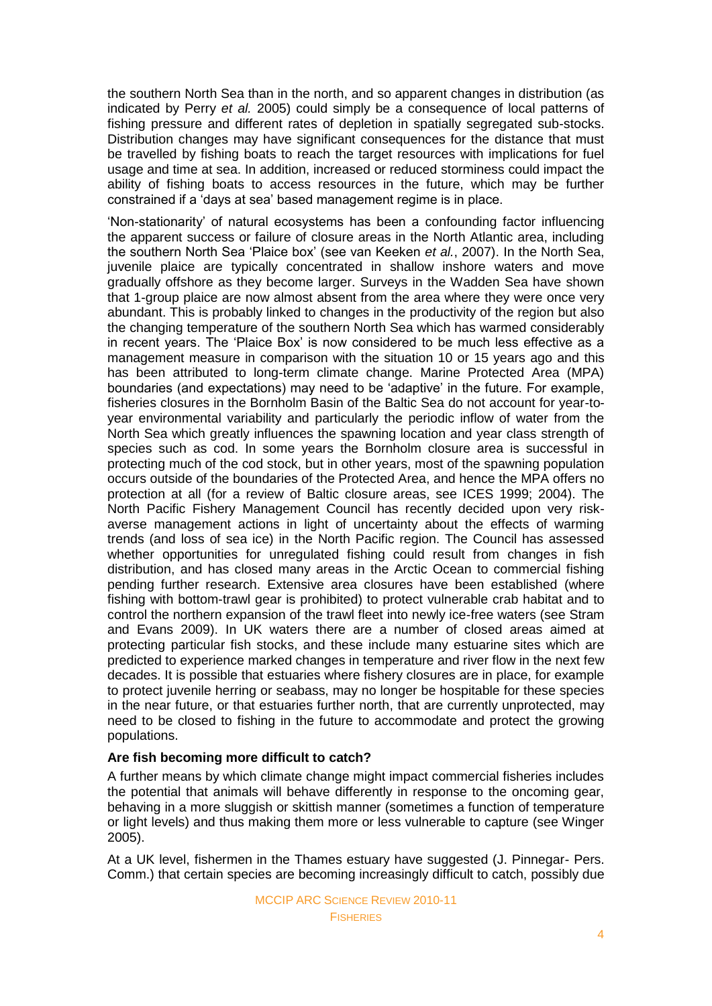the southern North Sea than in the north, and so apparent changes in distribution (as indicated by Perry *et al.* 2005) could simply be a consequence of local patterns of fishing pressure and different rates of depletion in spatially segregated sub-stocks. Distribution changes may have significant consequences for the distance that must be travelled by fishing boats to reach the target resources with implications for fuel usage and time at sea. In addition, increased or reduced storminess could impact the ability of fishing boats to access resources in the future, which may be further constrained if a 'days at sea' based management regime is in place.

‗Non-stationarity' of natural ecosystems has been a confounding factor influencing the apparent success or failure of closure areas in the North Atlantic area, including the southern North Sea 'Plaice box' (see van Keeken *et al.*, 2007). In the North Sea, juvenile plaice are typically concentrated in shallow inshore waters and move gradually offshore as they become larger. Surveys in the Wadden Sea have shown that 1-group plaice are now almost absent from the area where they were once very abundant. This is probably linked to changes in the productivity of the region but also the changing temperature of the southern North Sea which has warmed considerably in recent years. The 'Plaice Box' is now considered to be much less effective as a management measure in comparison with the situation 10 or 15 years ago and this has been attributed to long-term climate change. Marine Protected Area (MPA) boundaries (and expectations) may need to be ‗adaptive' in the future. For example, fisheries closures in the Bornholm Basin of the Baltic Sea do not account for year-toyear environmental variability and particularly the periodic inflow of water from the North Sea which greatly influences the spawning location and year class strength of species such as cod. In some years the Bornholm closure area is successful in protecting much of the cod stock, but in other years, most of the spawning population occurs outside of the boundaries of the Protected Area, and hence the MPA offers no protection at all (for a review of Baltic closure areas, see ICES 1999; 2004). The North Pacific Fishery Management Council has recently decided upon very riskaverse management actions in light of uncertainty about the effects of warming trends (and loss of sea ice) in the North Pacific region. The Council has assessed whether opportunities for unregulated fishing could result from changes in fish distribution, and has closed many areas in the Arctic Ocean to commercial fishing pending further research. Extensive area closures have been established (where fishing with bottom-trawl gear is prohibited) to protect vulnerable crab habitat and to control the northern expansion of the trawl fleet into newly ice-free waters (see Stram and Evans 2009). In UK waters there are a number of closed areas aimed at protecting particular fish stocks, and these include many estuarine sites which are predicted to experience marked changes in temperature and river flow in the next few decades. It is possible that estuaries where fishery closures are in place, for example to protect juvenile herring or seabass, may no longer be hospitable for these species in the near future, or that estuaries further north, that are currently unprotected, may need to be closed to fishing in the future to accommodate and protect the growing populations.

# **Are fish becoming more difficult to catch?**

A further means by which climate change might impact commercial fisheries includes the potential that animals will behave differently in response to the oncoming gear, behaving in a more sluggish or skittish manner (sometimes a function of temperature or light levels) and thus making them more or less vulnerable to capture (see Winger 2005).

At a UK level, fishermen in the Thames estuary have suggested (J. Pinnegar- Pers. Comm.) that certain species are becoming increasingly difficult to catch, possibly due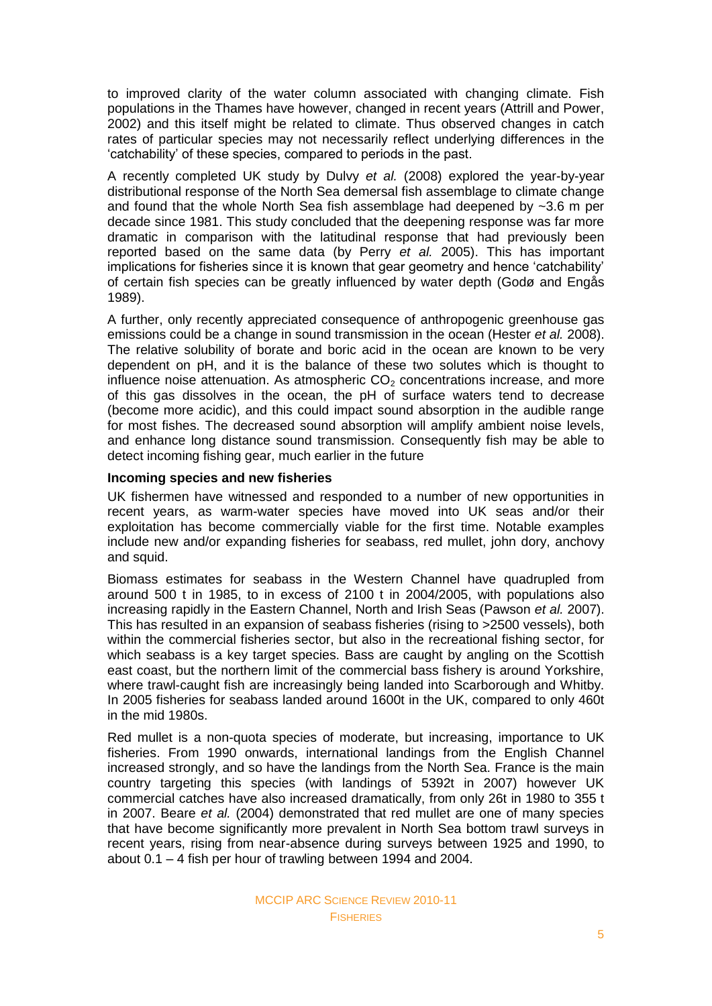to improved clarity of the water column associated with changing climate. Fish populations in the Thames have however, changed in recent years (Attrill and Power, 2002) and this itself might be related to climate. Thus observed changes in catch rates of particular species may not necessarily reflect underlying differences in the ‗catchability' of these species, compared to periods in the past.

A recently completed UK study by Dulvy *et al.* (2008) explored the year-by-year distributional response of the North Sea demersal fish assemblage to climate change and found that the whole North Sea fish assemblage had deepened by  $\sim$ 3.6 m per decade since 1981. This study concluded that the deepening response was far more dramatic in comparison with the latitudinal response that had previously been reported based on the same data (by Perry *et al.* 2005). This has important implications for fisheries since it is known that gear geometry and hence 'catchability' of certain fish species can be greatly influenced by water depth (Godø and Engås 1989).

A further, only recently appreciated consequence of anthropogenic greenhouse gas emissions could be a change in sound transmission in the ocean (Hester *et al.* 2008). The relative solubility of borate and boric acid in the ocean are known to be very dependent on pH, and it is the balance of these two solutes which is thought to influence noise attenuation. As atmospheric  $CO<sub>2</sub>$  concentrations increase, and more of this gas dissolves in the ocean, the pH of surface waters tend to decrease (become more acidic), and this could impact sound absorption in the audible range for most fishes. The decreased sound absorption will amplify ambient noise levels, and enhance long distance sound transmission. Consequently fish may be able to detect incoming fishing gear, much earlier in the future

#### **Incoming species and new fisheries**

UK fishermen have witnessed and responded to a number of new opportunities in recent years, as warm-water species have moved into UK seas and/or their exploitation has become commercially viable for the first time. Notable examples include new and/or expanding fisheries for seabass, red mullet, john dory, anchovy and squid.

Biomass estimates for seabass in the Western Channel have quadrupled from around 500 t in 1985, to in excess of 2100 t in 2004/2005, with populations also increasing rapidly in the Eastern Channel, North and Irish Seas (Pawson *et al.* 2007). This has resulted in an expansion of seabass fisheries (rising to >2500 vessels), both within the commercial fisheries sector, but also in the recreational fishing sector, for which seabass is a key target species. Bass are caught by angling on the Scottish east coast, but the northern limit of the commercial bass fishery is around Yorkshire, where trawl-caught fish are increasingly being landed into Scarborough and Whitby. In 2005 fisheries for seabass landed around 1600t in the UK, compared to only 460t in the mid 1980s.

Red mullet is a non-quota species of moderate, but increasing, importance to UK fisheries. From 1990 onwards, international landings from the English Channel increased strongly, and so have the landings from the North Sea. France is the main country targeting this species (with landings of 5392t in 2007) however UK commercial catches have also increased dramatically, from only 26t in 1980 to 355 t in 2007. Beare *et al.* (2004) demonstrated that red mullet are one of many species that have become significantly more prevalent in North Sea bottom trawl surveys in recent years, rising from near-absence during surveys between 1925 and 1990, to about 0.1 – 4 fish per hour of trawling between 1994 and 2004.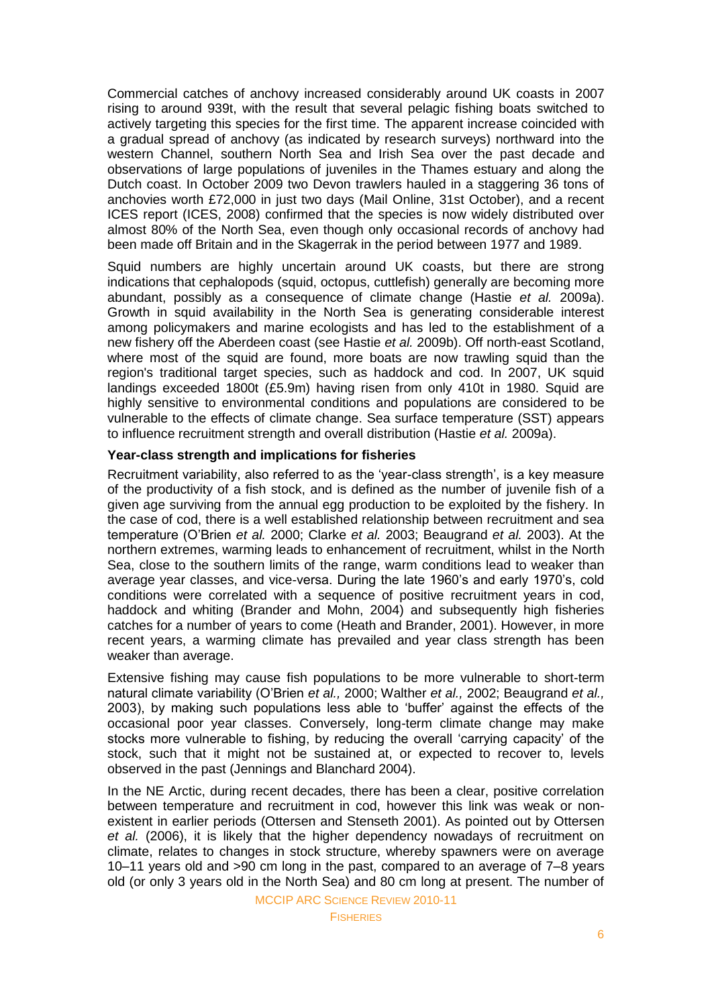Commercial catches of anchovy increased considerably around UK coasts in 2007 rising to around 939t, with the result that several pelagic fishing boats switched to actively targeting this species for the first time. The apparent increase coincided with a gradual spread of anchovy (as indicated by research surveys) northward into the western Channel, southern North Sea and Irish Sea over the past decade and observations of large populations of juveniles in the Thames estuary and along the Dutch coast. In October 2009 two Devon trawlers hauled in a staggering 36 tons of anchovies worth £72,000 in just two days (Mail Online, 31st October), and a recent ICES report (ICES, 2008) confirmed that the species is now widely distributed over almost 80% of the North Sea, even though only occasional records of anchovy had been made off Britain and in the Skagerrak in the period between 1977 and 1989.

Squid numbers are highly uncertain around UK coasts, but there are strong indications that cephalopods (squid, octopus, cuttlefish) generally are becoming more abundant, possibly as a consequence of climate change (Hastie *et al.* 2009a). Growth in squid availability in the North Sea is generating considerable interest among policymakers and marine ecologists and has led to the establishment of a new fishery off the Aberdeen coast (see Hastie *et al.* 2009b). Off north-east Scotland, where most of the squid are found, more boats are now trawling squid than the region's traditional target species, such as haddock and cod. In 2007, UK squid landings exceeded 1800t (£5.9m) having risen from only 410t in 1980. Squid are highly sensitive to environmental conditions and populations are considered to be vulnerable to the effects of climate change. Sea surface temperature (SST) appears to influence recruitment strength and overall distribution (Hastie *et al.* 2009a).

#### **Year-class strength and implications for fisheries**

Recruitment variability, also referred to as the 'year-class strength', is a key measure of the productivity of a fish stock, and is defined as the number of juvenile fish of a given age surviving from the annual egg production to be exploited by the fishery. In the case of cod, there is a well established relationship between recruitment and sea temperature (O'Brien *et al.* 2000; Clarke *et al.* 2003; Beaugrand *et al.* 2003). At the northern extremes, warming leads to enhancement of recruitment, whilst in the North Sea, close to the southern limits of the range, warm conditions lead to weaker than average year classes, and vice-versa. During the late 1960's and early 1970's, cold conditions were correlated with a sequence of positive recruitment years in cod, haddock and whiting (Brander and Mohn, 2004) and subsequently high fisheries catches for a number of years to come (Heath and Brander, 2001). However, in more recent years, a warming climate has prevailed and year class strength has been weaker than average.

Extensive fishing may cause fish populations to be more vulnerable to short-term natural climate variability (O'Brien *et al.,* 2000; Walther *et al.,* 2002; Beaugrand *et al.,* 2003), by making such populations less able to 'buffer' against the effects of the occasional poor year classes. Conversely, long-term climate change may make stocks more vulnerable to fishing, by reducing the overall 'carrying capacity' of the stock, such that it might not be sustained at, or expected to recover to, levels observed in the past (Jennings and Blanchard 2004).

In the NE Arctic, during recent decades, there has been a clear, positive correlation between temperature and recruitment in cod, however this link was weak or nonexistent in earlier periods (Ottersen and Stenseth 2001). As pointed out by Ottersen *et al.* (2006), it is likely that the higher dependency nowadays of recruitment on climate, relates to changes in stock structure, whereby spawners were on average 10–11 years old and >90 cm long in the past, compared to an average of 7–8 years old (or only 3 years old in the North Sea) and 80 cm long at present. The number of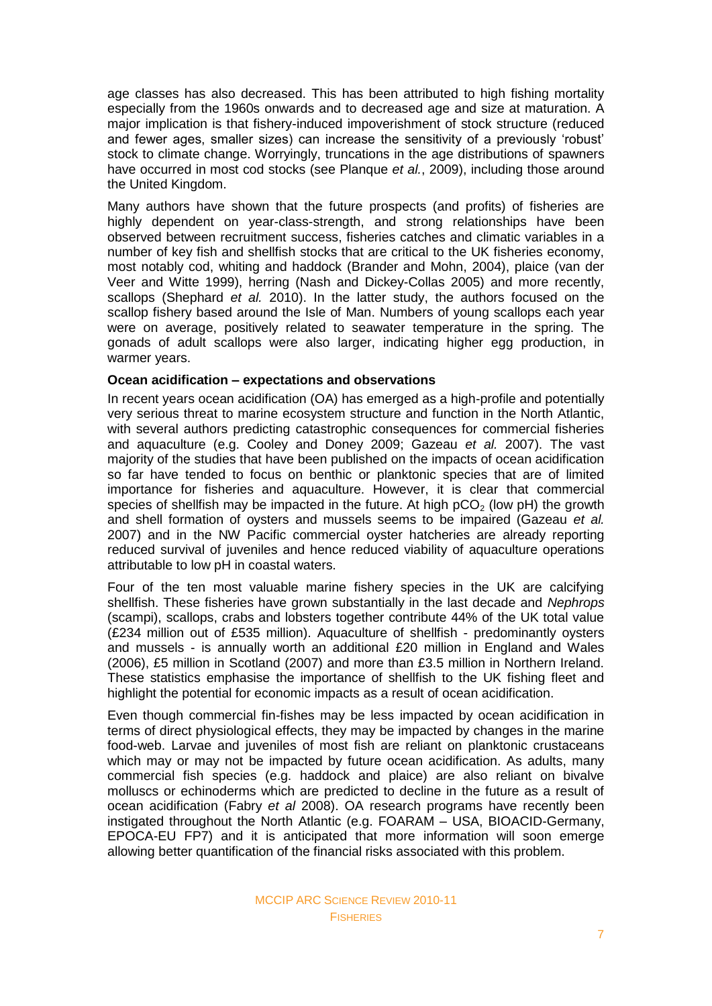age classes has also decreased. This has been attributed to high fishing mortality especially from the 1960s onwards and to decreased age and size at maturation. A major implication is that fishery-induced impoverishment of stock structure (reduced and fewer ages, smaller sizes) can increase the sensitivity of a previously 'robust' stock to climate change. Worryingly, truncations in the age distributions of spawners have occurred in most cod stocks (see Planque *et al.*, 2009), including those around the United Kingdom.

Many authors have shown that the future prospects (and profits) of fisheries are highly dependent on year-class-strength, and strong relationships have been observed between recruitment success, fisheries catches and climatic variables in a number of key fish and shellfish stocks that are critical to the UK fisheries economy, most notably cod, whiting and haddock (Brander and Mohn, 2004), plaice (van der Veer and Witte 1999), herring (Nash and Dickey-Collas 2005) and more recently, scallops (Shephard *et al.* 2010). In the latter study, the authors focused on the scallop fishery based around the Isle of Man. Numbers of young scallops each year were on average, positively related to seawater temperature in the spring. The gonads of adult scallops were also larger, indicating higher egg production, in warmer years.

### **Ocean acidification – expectations and observations**

In recent years ocean acidification (OA) has emerged as a high-profile and potentially very serious threat to marine ecosystem structure and function in the North Atlantic, with several authors predicting catastrophic consequences for commercial fisheries and aquaculture (e.g. Cooley and Doney 2009; Gazeau *et al.* 2007). The vast majority of the studies that have been published on the impacts of ocean acidification so far have tended to focus on benthic or planktonic species that are of limited importance for fisheries and aquaculture. However, it is clear that commercial species of shellfish may be impacted in the future. At high  $pCO<sub>2</sub>$  (low pH) the growth and shell formation of oysters and mussels seems to be impaired (Gazeau *et al.* 2007) and in the NW Pacific commercial oyster hatcheries are already reporting reduced survival of juveniles and hence reduced viability of aquaculture operations attributable to low pH in coastal waters.

Four of the ten most valuable marine fishery species in the UK are calcifying shellfish. These fisheries have grown substantially in the last decade and *Nephrops* (scampi), scallops, crabs and lobsters together contribute 44% of the UK total value (£234 million out of £535 million). Aquaculture of shellfish - predominantly oysters and mussels - is annually worth an additional £20 million in England and Wales (2006), £5 million in Scotland (2007) and more than £3.5 million in Northern Ireland. These statistics emphasise the importance of shellfish to the UK fishing fleet and highlight the potential for economic impacts as a result of ocean acidification.

Even though commercial fin-fishes may be less impacted by ocean acidification in terms of direct physiological effects, they may be impacted by changes in the marine food-web. Larvae and juveniles of most fish are reliant on planktonic crustaceans which may or may not be impacted by future ocean acidification. As adults, many commercial fish species (e.g. haddock and plaice) are also reliant on bivalve molluscs or echinoderms which are predicted to decline in the future as a result of ocean acidification (Fabry *et al* 2008). OA research programs have recently been instigated throughout the North Atlantic (e.g. FOARAM – USA, BIOACID-Germany, EPOCA-EU FP7) and it is anticipated that more information will soon emerge allowing better quantification of the financial risks associated with this problem.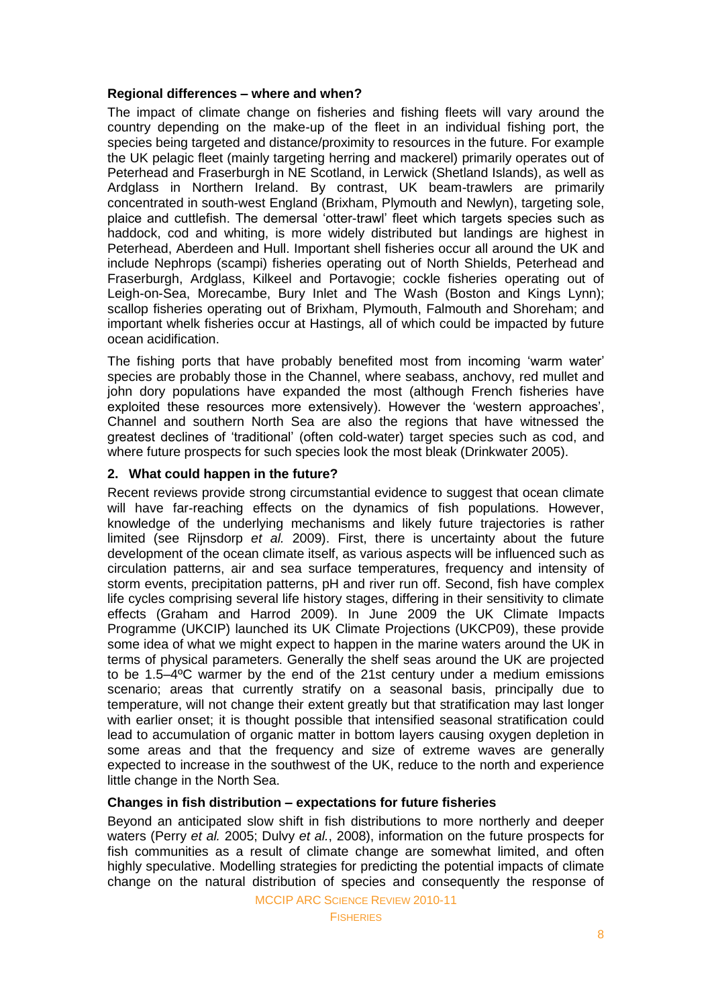# **Regional differences – where and when?**

The impact of climate change on fisheries and fishing fleets will vary around the country depending on the make-up of the fleet in an individual fishing port, the species being targeted and distance/proximity to resources in the future. For example the UK pelagic fleet (mainly targeting herring and mackerel) primarily operates out of Peterhead and Fraserburgh in NE Scotland, in Lerwick (Shetland Islands), as well as Ardglass in Northern Ireland. By contrast, UK beam-trawlers are primarily concentrated in south-west England (Brixham, Plymouth and Newlyn), targeting sole, plaice and cuttlefish. The demersal 'otter-trawl' fleet which targets species such as haddock, cod and whiting, is more widely distributed but landings are highest in Peterhead, Aberdeen and Hull. Important shell fisheries occur all around the UK and include Nephrops (scampi) fisheries operating out of North Shields, Peterhead and Fraserburgh, Ardglass, Kilkeel and Portavogie; cockle fisheries operating out of Leigh-on-Sea, Morecambe, Bury Inlet and The Wash (Boston and Kings Lynn); scallop fisheries operating out of Brixham, Plymouth, Falmouth and Shoreham; and important whelk fisheries occur at Hastings, all of which could be impacted by future ocean acidification.

The fishing ports that have probably benefited most from incoming 'warm water' species are probably those in the Channel, where seabass, anchovy, red mullet and john dory populations have expanded the most (although French fisheries have exploited these resources more extensively). However the 'western approaches', Channel and southern North Sea are also the regions that have witnessed the greatest declines of 'traditional' (often cold-water) target species such as cod, and where future prospects for such species look the most bleak (Drinkwater 2005).

# **2. What could happen in the future?**

Recent reviews provide strong circumstantial evidence to suggest that ocean climate will have far-reaching effects on the dynamics of fish populations. However, knowledge of the underlying mechanisms and likely future trajectories is rather limited (see Rijnsdorp *et al.* 2009). First, there is uncertainty about the future development of the ocean climate itself, as various aspects will be influenced such as circulation patterns, air and sea surface temperatures, frequency and intensity of storm events, precipitation patterns, pH and river run off. Second, fish have complex life cycles comprising several life history stages, differing in their sensitivity to climate effects (Graham and Harrod 2009). In June 2009 the UK Climate Impacts Programme (UKCIP) launched its UK Climate Projections (UKCP09), these provide some idea of what we might expect to happen in the marine waters around the UK in terms of physical parameters. Generally the shelf seas around the UK are projected to be 1.5–4ºC warmer by the end of the 21st century under a medium emissions scenario; areas that currently stratify on a seasonal basis, principally due to temperature, will not change their extent greatly but that stratification may last longer with earlier onset; it is thought possible that intensified seasonal stratification could lead to accumulation of organic matter in bottom layers causing oxygen depletion in some areas and that the frequency and size of extreme waves are generally expected to increase in the southwest of the UK, reduce to the north and experience little change in the North Sea.

# **Changes in fish distribution – expectations for future fisheries**

Beyond an anticipated slow shift in fish distributions to more northerly and deeper waters (Perry *et al.* 2005; Dulvy *et al.*, 2008), information on the future prospects for fish communities as a result of climate change are somewhat limited, and often highly speculative. Modelling strategies for predicting the potential impacts of climate change on the natural distribution of species and consequently the response of

MCCIP ARC SCIENCE REVIEW 2010-11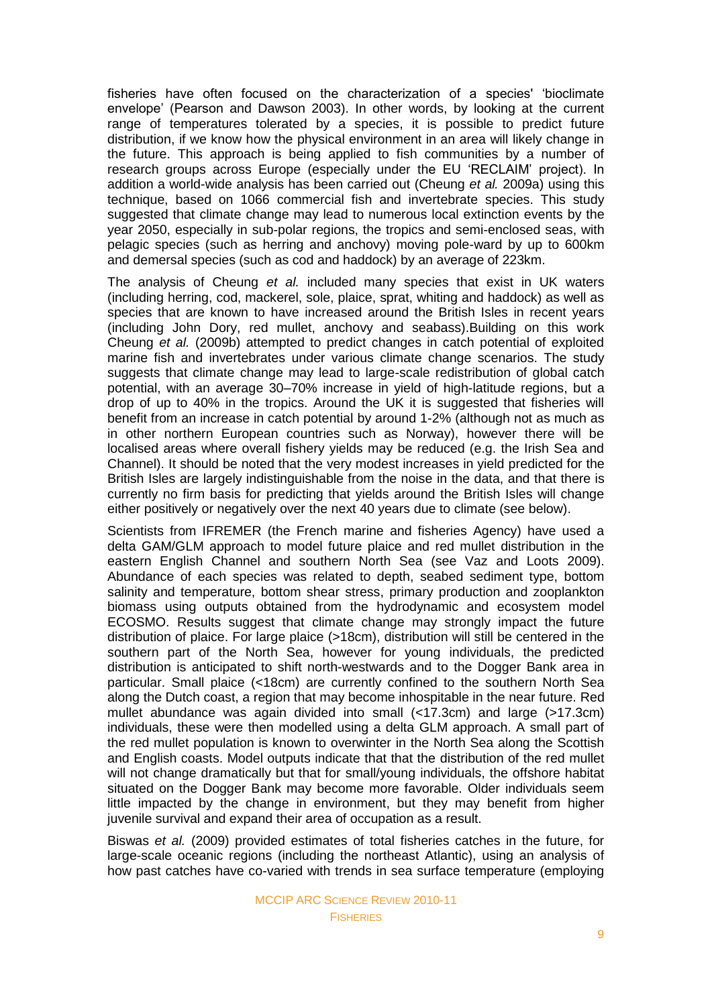fisheries have often focused on the characterization of a species' 'bioclimate envelope' (Pearson and Dawson 2003). In other words, by looking at the current range of temperatures tolerated by a species, it is possible to predict future distribution, if we know how the physical environment in an area will likely change in the future. This approach is being applied to fish communities by a number of research groups across Europe (especially under the EU 'RECLAIM' project). In addition a world-wide analysis has been carried out (Cheung *et al.* 2009a) using this technique, based on 1066 commercial fish and invertebrate species. This study suggested that climate change may lead to numerous local extinction events by the year 2050, especially in sub-polar regions, the tropics and semi-enclosed seas, with pelagic species (such as herring and anchovy) moving pole-ward by up to 600km and demersal species (such as cod and haddock) by an average of 223km.

The analysis of Cheung *et al.* included many species that exist in UK waters (including herring, cod, mackerel, sole, plaice, sprat, whiting and haddock) as well as species that are known to have increased around the British Isles in recent years (including John Dory, red mullet, anchovy and seabass).Building on this work Cheung *et al.* (2009b) attempted to predict changes in catch potential of exploited marine fish and invertebrates under various climate change scenarios. The study suggests that climate change may lead to large-scale redistribution of global catch potential, with an average 30–70% increase in yield of high-latitude regions, but a drop of up to 40% in the tropics. Around the UK it is suggested that fisheries will benefit from an increase in catch potential by around 1-2% (although not as much as in other northern European countries such as Norway), however there will be localised areas where overall fishery yields may be reduced (e.g. the Irish Sea and Channel). It should be noted that the very modest increases in yield predicted for the British Isles are largely indistinguishable from the noise in the data, and that there is currently no firm basis for predicting that yields around the British Isles will change either positively or negatively over the next 40 years due to climate (see below).

Scientists from IFREMER (the French marine and fisheries Agency) have used a delta GAM/GLM approach to model future plaice and red mullet distribution in the eastern English Channel and southern North Sea (see Vaz and Loots 2009). Abundance of each species was related to depth, seabed sediment type, bottom salinity and temperature, bottom shear stress, primary production and zooplankton biomass using outputs obtained from the hydrodynamic and ecosystem model ECOSMO. Results suggest that climate change may strongly impact the future distribution of plaice. For large plaice (>18cm), distribution will still be centered in the southern part of the North Sea, however for young individuals, the predicted distribution is anticipated to shift north-westwards and to the Dogger Bank area in particular. Small plaice (<18cm) are currently confined to the southern North Sea along the Dutch coast, a region that may become inhospitable in the near future. Red mullet abundance was again divided into small (<17.3cm) and large (>17.3cm) individuals, these were then modelled using a delta GLM approach. A small part of the red mullet population is known to overwinter in the North Sea along the Scottish and English coasts. Model outputs indicate that that the distribution of the red mullet will not change dramatically but that for small/young individuals, the offshore habitat situated on the Dogger Bank may become more favorable. Older individuals seem little impacted by the change in environment, but they may benefit from higher juvenile survival and expand their area of occupation as a result.

Biswas *et al.* (2009) provided estimates of total fisheries catches in the future, for large-scale oceanic regions (including the northeast Atlantic), using an analysis of how past catches have co-varied with trends in sea surface temperature (employing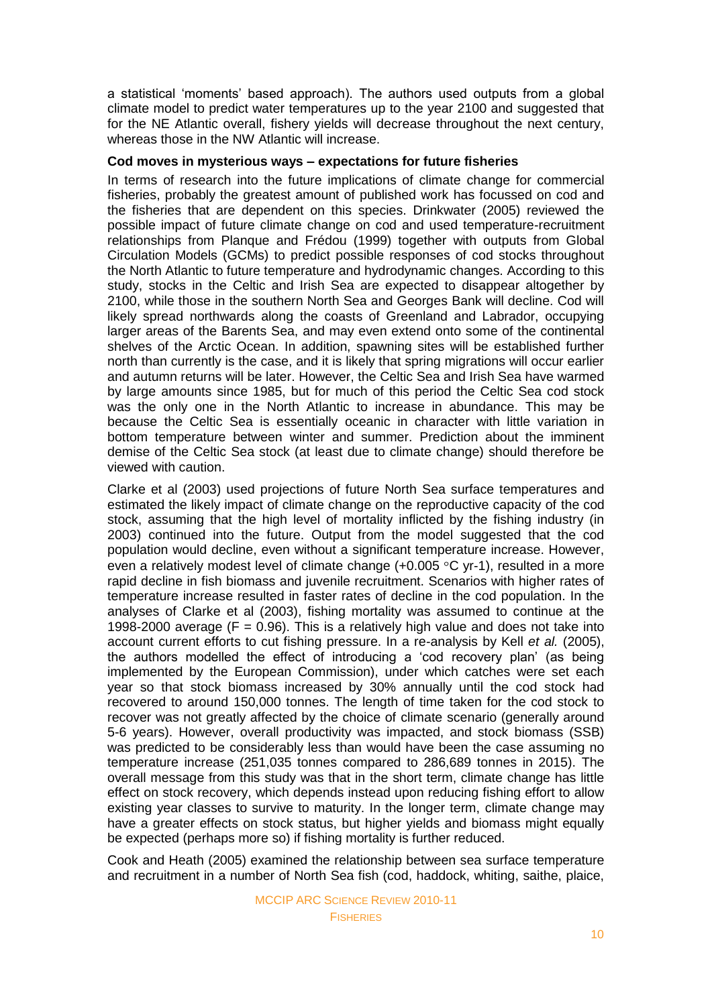a statistical 'moments' based approach). The authors used outputs from a global climate model to predict water temperatures up to the year 2100 and suggested that for the NE Atlantic overall, fishery yields will decrease throughout the next century, whereas those in the NW Atlantic will increase.

#### **Cod moves in mysterious ways – expectations for future fisheries**

In terms of research into the future implications of climate change for commercial fisheries, probably the greatest amount of published work has focussed on cod and the fisheries that are dependent on this species. Drinkwater (2005) reviewed the possible impact of future climate change on cod and used temperature-recruitment relationships from Planque and Frédou (1999) together with outputs from Global Circulation Models (GCMs) to predict possible responses of cod stocks throughout the North Atlantic to future temperature and hydrodynamic changes. According to this study, stocks in the Celtic and Irish Sea are expected to disappear altogether by 2100, while those in the southern North Sea and Georges Bank will decline. Cod will likely spread northwards along the coasts of Greenland and Labrador, occupying larger areas of the Barents Sea, and may even extend onto some of the continental shelves of the Arctic Ocean. In addition, spawning sites will be established further north than currently is the case, and it is likely that spring migrations will occur earlier and autumn returns will be later. However, the Celtic Sea and Irish Sea have warmed by large amounts since 1985, but for much of this period the Celtic Sea cod stock was the only one in the North Atlantic to increase in abundance. This may be because the Celtic Sea is essentially oceanic in character with little variation in bottom temperature between winter and summer. Prediction about the imminent demise of the Celtic Sea stock (at least due to climate change) should therefore be viewed with caution.

Clarke et al (2003) used projections of future North Sea surface temperatures and estimated the likely impact of climate change on the reproductive capacity of the cod stock, assuming that the high level of mortality inflicted by the fishing industry (in 2003) continued into the future. Output from the model suggested that the cod population would decline, even without a significant temperature increase. However, even a relatively modest level of climate change  $(+0.005 \degree C$  yr-1), resulted in a more rapid decline in fish biomass and juvenile recruitment. Scenarios with higher rates of temperature increase resulted in faster rates of decline in the cod population. In the analyses of Clarke et al (2003), fishing mortality was assumed to continue at the 1998-2000 average ( $F = 0.96$ ). This is a relatively high value and does not take into account current efforts to cut fishing pressure. In a re-analysis by Kell *et al.* (2005), the authors modelled the effect of introducing a 'cod recovery plan' (as being implemented by the European Commission), under which catches were set each year so that stock biomass increased by 30% annually until the cod stock had recovered to around 150,000 tonnes. The length of time taken for the cod stock to recover was not greatly affected by the choice of climate scenario (generally around 5-6 years). However, overall productivity was impacted, and stock biomass (SSB) was predicted to be considerably less than would have been the case assuming no temperature increase (251,035 tonnes compared to 286,689 tonnes in 2015). The overall message from this study was that in the short term, climate change has little effect on stock recovery, which depends instead upon reducing fishing effort to allow existing year classes to survive to maturity. In the longer term, climate change may have a greater effects on stock status, but higher yields and biomass might equally be expected (perhaps more so) if fishing mortality is further reduced.

Cook and Heath (2005) examined the relationship between sea surface temperature and recruitment in a number of North Sea fish (cod, haddock, whiting, saithe, plaice,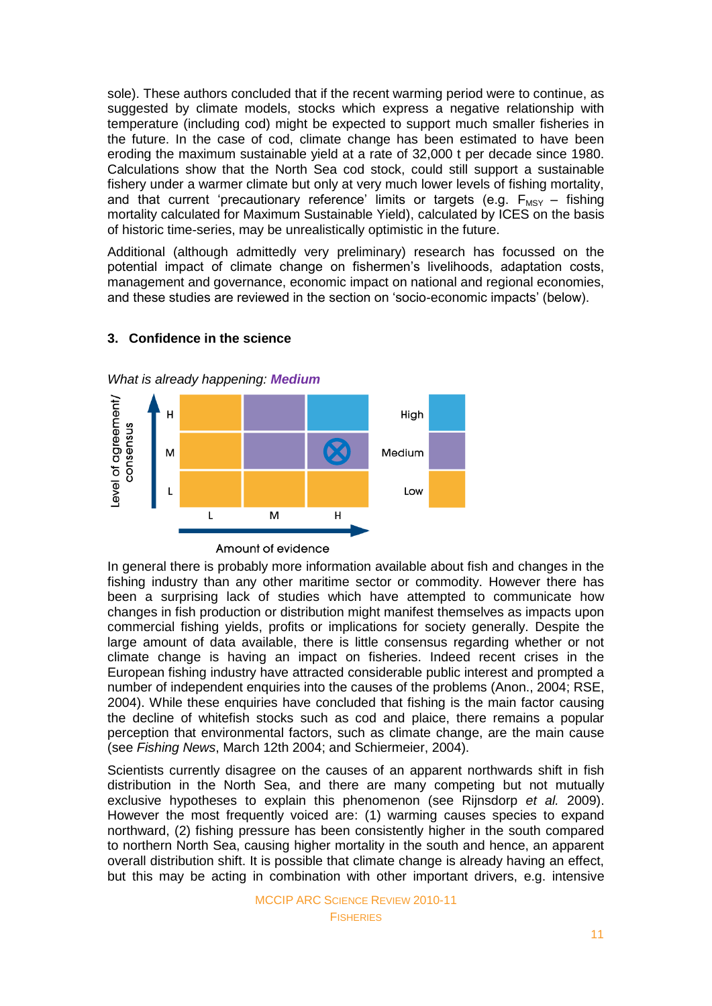sole). These authors concluded that if the recent warming period were to continue, as suggested by climate models, stocks which express a negative relationship with temperature (including cod) might be expected to support much smaller fisheries in the future. In the case of cod, climate change has been estimated to have been eroding the maximum sustainable yield at a rate of 32,000 t per decade since 1980. Calculations show that the North Sea cod stock, could still support a sustainable fishery under a warmer climate but only at very much lower levels of fishing mortality, and that current 'precautionary reference' limits or targets (e.g.  $F_{MSY}$  – fishing mortality calculated for Maximum Sustainable Yield), calculated by ICES on the basis of historic time-series, may be unrealistically optimistic in the future.

Additional (although admittedly very preliminary) research has focussed on the potential impact of climate change on fishermen's livelihoods, adaptation costs, management and governance, economic impact on national and regional economies, and these studies are reviewed in the section on 'socio-economic impacts' (below).



# **3. Confidence in the science**

Amount of evidence

In general there is probably more information available about fish and changes in the fishing industry than any other maritime sector or commodity. However there has been a surprising lack of studies which have attempted to communicate how changes in fish production or distribution might manifest themselves as impacts upon commercial fishing yields, profits or implications for society generally. Despite the large amount of data available, there is little consensus regarding whether or not climate change is having an impact on fisheries. Indeed recent crises in the European fishing industry have attracted considerable public interest and prompted a number of independent enquiries into the causes of the problems (Anon., 2004; RSE, 2004). While these enquiries have concluded that fishing is the main factor causing the decline of whitefish stocks such as cod and plaice, there remains a popular perception that environmental factors, such as climate change, are the main cause (see *Fishing News*, March 12th 2004; and Schiermeier, 2004).

Scientists currently disagree on the causes of an apparent northwards shift in fish distribution in the North Sea, and there are many competing but not mutually exclusive hypotheses to explain this phenomenon (see Rijnsdorp *et al.* 2009). However the most frequently voiced are: (1) warming causes species to expand northward, (2) fishing pressure has been consistently higher in the south compared to northern North Sea, causing higher mortality in the south and hence, an apparent overall distribution shift. It is possible that climate change is already having an effect, but this may be acting in combination with other important drivers, e.g. intensive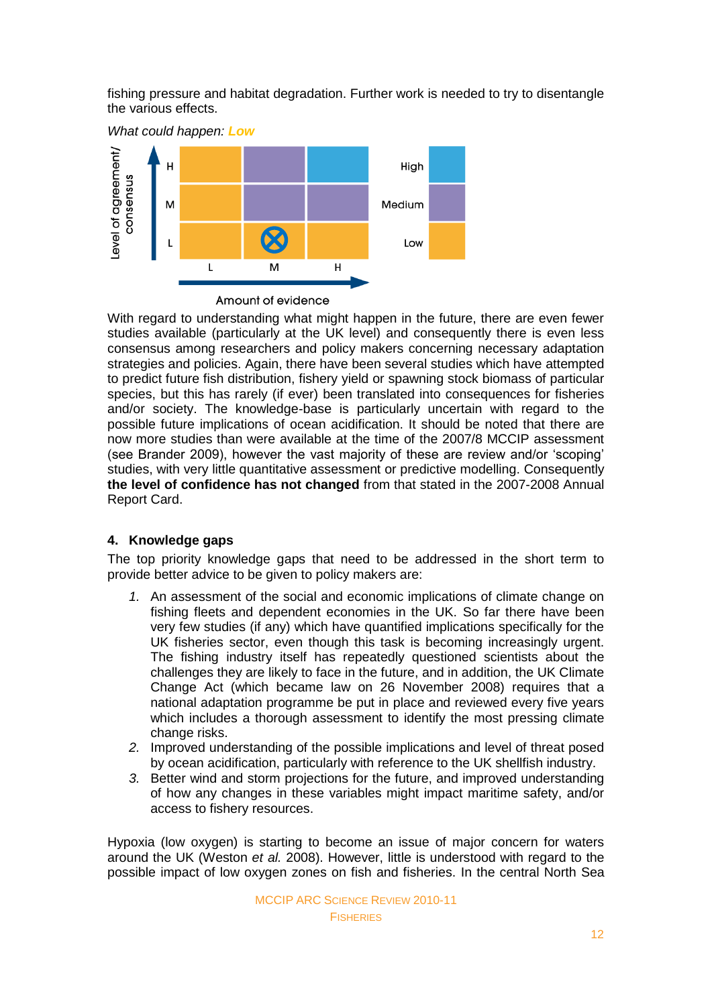fishing pressure and habitat degradation. Further work is needed to try to disentangle the various effects.

*What could happen: Low* evel of agreement/  $\overline{H}$ High consensus M Medium Low  $\overline{1}$  $\overline{H}$  $\mathsf{L}$ Amount of evidence

With regard to understanding what might happen in the future, there are even fewer studies available (particularly at the UK level) and consequently there is even less consensus among researchers and policy makers concerning necessary adaptation strategies and policies. Again, there have been several studies which have attempted to predict future fish distribution, fishery yield or spawning stock biomass of particular species, but this has rarely (if ever) been translated into consequences for fisheries and/or society. The knowledge-base is particularly uncertain with regard to the possible future implications of ocean acidification. It should be noted that there are now more studies than were available at the time of the 2007/8 MCCIP assessment (see Brander 2009), however the vast majority of these are review and/or ‗scoping' studies, with very little quantitative assessment or predictive modelling. Consequently **the level of confidence has not changed** from that stated in the 2007-2008 Annual Report Card.

# **4. Knowledge gaps**

The top priority knowledge gaps that need to be addressed in the short term to provide better advice to be given to policy makers are:

- *1.* An assessment of the social and economic implications of climate change on fishing fleets and dependent economies in the UK. So far there have been very few studies (if any) which have quantified implications specifically for the UK fisheries sector, even though this task is becoming increasingly urgent. The fishing industry itself has repeatedly questioned scientists about the challenges they are likely to face in the future, and in addition, the UK Climate Change Act (which became law on 26 November 2008) requires that a national adaptation programme be put in place and reviewed every five years which includes a thorough assessment to identify the most pressing climate change risks.
- *2.* Improved understanding of the possible implications and level of threat posed by ocean acidification, particularly with reference to the UK shellfish industry.
- *3.* Better wind and storm projections for the future, and improved understanding of how any changes in these variables might impact maritime safety, and/or access to fishery resources.

Hypoxia (low oxygen) is starting to become an issue of major concern for waters around the UK (Weston *et al.* 2008). However, little is understood with regard to the possible impact of low oxygen zones on fish and fisheries. In the central North Sea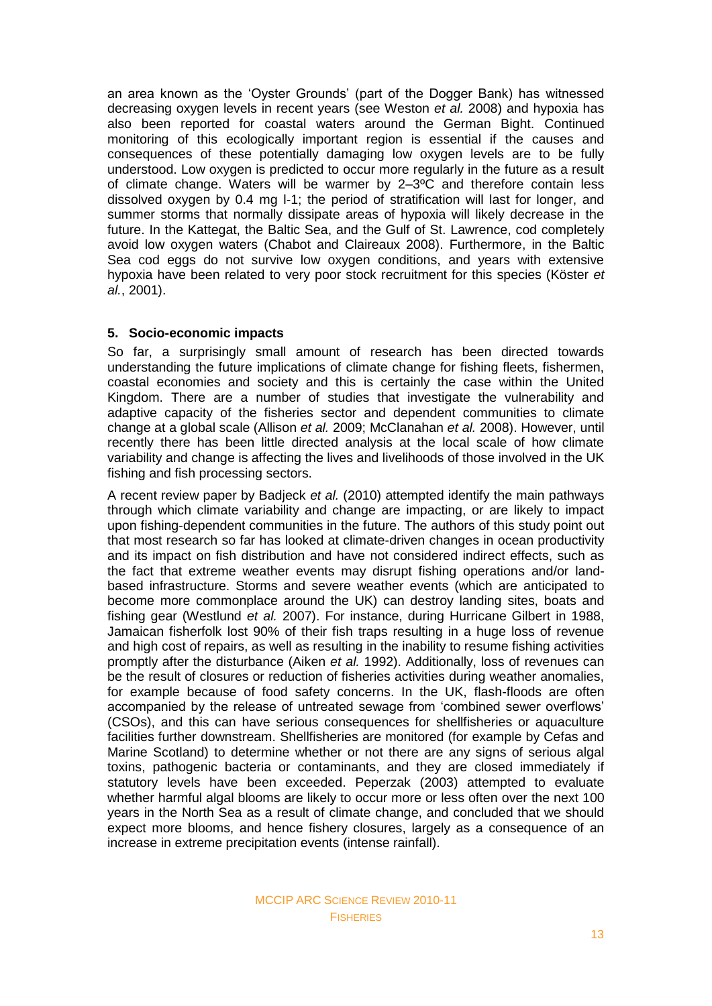an area known as the 'Oyster Grounds' (part of the Dogger Bank) has witnessed decreasing oxygen levels in recent years (see Weston *et al.* 2008) and hypoxia has also been reported for coastal waters around the German Bight. Continued monitoring of this ecologically important region is essential if the causes and consequences of these potentially damaging low oxygen levels are to be fully understood. Low oxygen is predicted to occur more regularly in the future as a result of climate change. Waters will be warmer by 2–3ºC and therefore contain less dissolved oxygen by 0.4 mg l-1; the period of stratification will last for longer, and summer storms that normally dissipate areas of hypoxia will likely decrease in the future. In the Kattegat, the Baltic Sea, and the Gulf of St. Lawrence, cod completely avoid low oxygen waters (Chabot and Claireaux 2008). Furthermore, in the Baltic Sea cod eggs do not survive low oxygen conditions, and years with extensive hypoxia have been related to very poor stock recruitment for this species (Köster *et al.*, 2001).

# **5. Socio-economic impacts**

So far, a surprisingly small amount of research has been directed towards understanding the future implications of climate change for fishing fleets, fishermen, coastal economies and society and this is certainly the case within the United Kingdom. There are a number of studies that investigate the vulnerability and adaptive capacity of the fisheries sector and dependent communities to climate change at a global scale (Allison *et al.* 2009; McClanahan *et al.* 2008). However, until recently there has been little directed analysis at the local scale of how climate variability and change is affecting the lives and livelihoods of those involved in the UK fishing and fish processing sectors.

A recent review paper by Badjeck *et al.* (2010) attempted identify the main pathways through which climate variability and change are impacting, or are likely to impact upon fishing-dependent communities in the future. The authors of this study point out that most research so far has looked at climate-driven changes in ocean productivity and its impact on fish distribution and have not considered indirect effects, such as the fact that extreme weather events may disrupt fishing operations and/or landbased infrastructure. Storms and severe weather events (which are anticipated to become more commonplace around the UK) can destroy landing sites, boats and fishing gear (Westlund *et al.* 2007). For instance, during Hurricane Gilbert in 1988, Jamaican fisherfolk lost 90% of their fish traps resulting in a huge loss of revenue and high cost of repairs, as well as resulting in the inability to resume fishing activities promptly after the disturbance (Aiken *et al.* 1992). Additionally, loss of revenues can be the result of closures or reduction of fisheries activities during weather anomalies, for example because of food safety concerns. In the UK, flash-floods are often accompanied by the release of untreated sewage from 'combined sewer overflows' (CSOs), and this can have serious consequences for shellfisheries or aquaculture facilities further downstream. Shellfisheries are monitored (for example by Cefas and Marine Scotland) to determine whether or not there are any signs of serious algal toxins, pathogenic bacteria or contaminants, and they are closed immediately if statutory levels have been exceeded. Peperzak (2003) attempted to evaluate whether harmful algal blooms are likely to occur more or less often over the next 100 years in the North Sea as a result of climate change, and concluded that we should expect more blooms, and hence fishery closures, largely as a consequence of an increase in extreme precipitation events (intense rainfall).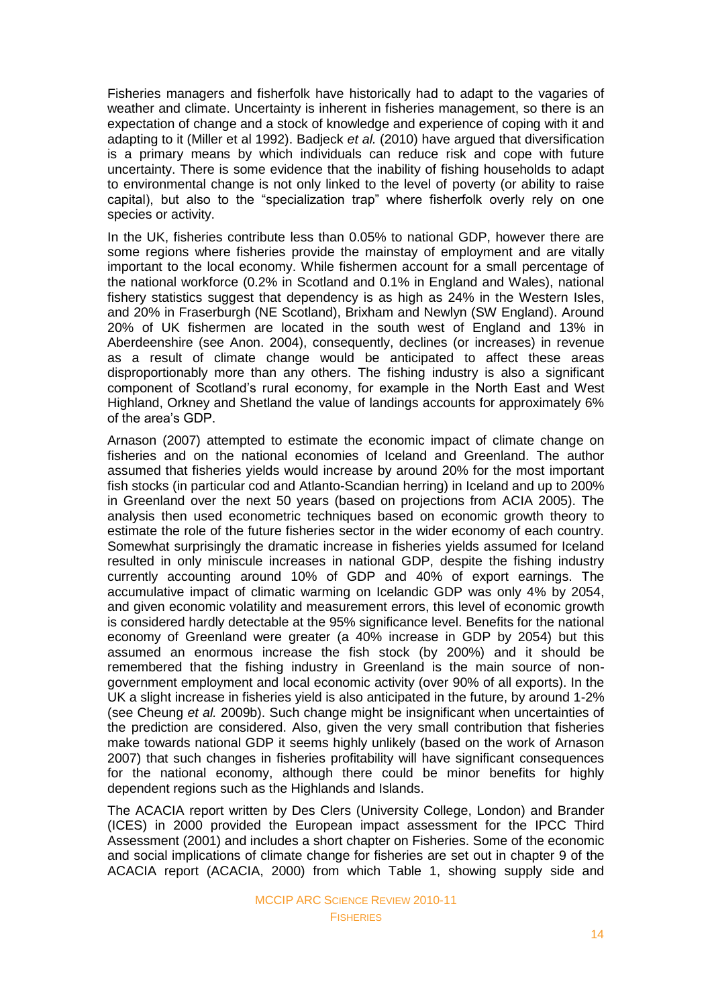Fisheries managers and fisherfolk have historically had to adapt to the vagaries of weather and climate. Uncertainty is inherent in fisheries management, so there is an expectation of change and a stock of knowledge and experience of coping with it and adapting to it (Miller et al 1992). Badjeck *et al.* (2010) have argued that diversification is a primary means by which individuals can reduce risk and cope with future uncertainty. There is some evidence that the inability of fishing households to adapt to environmental change is not only linked to the level of poverty (or ability to raise capital), but also to the "specialization trap" where fisherfolk overly rely on one species or activity.

In the UK, fisheries contribute less than 0.05% to national GDP, however there are some regions where fisheries provide the mainstay of employment and are vitally important to the local economy. While fishermen account for a small percentage of the national workforce (0.2% in Scotland and 0.1% in England and Wales), national fishery statistics suggest that dependency is as high as 24% in the Western Isles, and 20% in Fraserburgh (NE Scotland), Brixham and Newlyn (SW England). Around 20% of UK fishermen are located in the south west of England and 13% in Aberdeenshire (see Anon. 2004), consequently, declines (or increases) in revenue as a result of climate change would be anticipated to affect these areas disproportionably more than any others. The fishing industry is also a significant component of Scotland's rural economy, for example in the North East and West Highland, Orkney and Shetland the value of landings accounts for approximately 6% of the area's GDP.

Arnason (2007) attempted to estimate the economic impact of climate change on fisheries and on the national economies of Iceland and Greenland. The author assumed that fisheries yields would increase by around 20% for the most important fish stocks (in particular cod and Atlanto-Scandian herring) in Iceland and up to 200% in Greenland over the next 50 years (based on projections from ACIA 2005). The analysis then used econometric techniques based on economic growth theory to estimate the role of the future fisheries sector in the wider economy of each country. Somewhat surprisingly the dramatic increase in fisheries yields assumed for Iceland resulted in only miniscule increases in national GDP, despite the fishing industry currently accounting around 10% of GDP and 40% of export earnings. The accumulative impact of climatic warming on Icelandic GDP was only 4% by 2054, and given economic volatility and measurement errors, this level of economic growth is considered hardly detectable at the 95% significance level. Benefits for the national economy of Greenland were greater (a 40% increase in GDP by 2054) but this assumed an enormous increase the fish stock (by 200%) and it should be remembered that the fishing industry in Greenland is the main source of nongovernment employment and local economic activity (over 90% of all exports). In the UK a slight increase in fisheries yield is also anticipated in the future, by around 1-2% (see Cheung *et al.* 2009b). Such change might be insignificant when uncertainties of the prediction are considered. Also, given the very small contribution that fisheries make towards national GDP it seems highly unlikely (based on the work of Arnason 2007) that such changes in fisheries profitability will have significant consequences for the national economy, although there could be minor benefits for highly dependent regions such as the Highlands and Islands.

The ACACIA report written by Des Clers (University College, London) and Brander (ICES) in 2000 provided the European impact assessment for the IPCC Third Assessment (2001) and includes a short chapter on Fisheries. Some of the economic and social implications of climate change for fisheries are set out in chapter 9 of the ACACIA report (ACACIA, 2000) from which Table 1, showing supply side and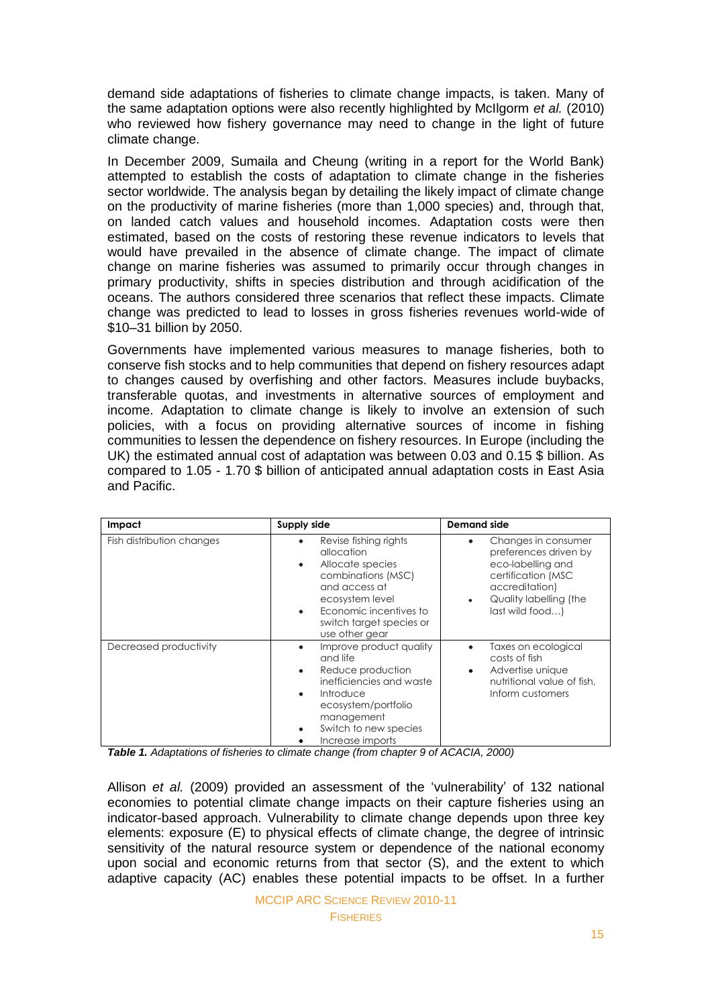demand side adaptations of fisheries to climate change impacts, is taken. Many of the same adaptation options were also recently highlighted by McIlgorm *et al.* (2010) who reviewed how fishery governance may need to change in the light of future climate change.

In December 2009, Sumaila and Cheung (writing in a report for the World Bank) attempted to establish the costs of adaptation to climate change in the fisheries sector worldwide. The analysis began by detailing the likely impact of climate change on the productivity of marine fisheries (more than 1,000 species) and, through that, on landed catch values and household incomes. Adaptation costs were then estimated, based on the costs of restoring these revenue indicators to levels that would have prevailed in the absence of climate change. The impact of climate change on marine fisheries was assumed to primarily occur through changes in primary productivity, shifts in species distribution and through acidification of the oceans. The authors considered three scenarios that reflect these impacts. Climate change was predicted to lead to losses in gross fisheries revenues world-wide of \$10–31 billion by 2050.

Governments have implemented various measures to manage fisheries, both to conserve fish stocks and to help communities that depend on fishery resources adapt to changes caused by overfishing and other factors. Measures include buybacks, transferable quotas, and investments in alternative sources of employment and income. Adaptation to climate change is likely to involve an extension of such policies, with a focus on providing alternative sources of income in fishing communities to lessen the dependence on fishery resources. In Europe (including the UK) the estimated annual cost of adaptation was between 0.03 and 0.15 \$ billion. As compared to 1.05 - 1.70 \$ billion of anticipated annual adaptation costs in East Asia and Pacific.

| Impact                    | Supply side                                                                                                                                                                                                                | <b>Demand side</b>                                                                                                                                               |
|---------------------------|----------------------------------------------------------------------------------------------------------------------------------------------------------------------------------------------------------------------------|------------------------------------------------------------------------------------------------------------------------------------------------------------------|
| Fish distribution changes | Revise fishing rights<br>٠<br>allocation<br>Allocate species<br>$\bullet$<br>combinations (MSC)<br>and access at<br>ecosystem level<br>Economic incentives to<br>$\bullet$<br>switch target species or<br>use other gear   | Changes in consumer<br>٠<br>preferences driven by<br>eco-labelling and<br>certification (MSC<br>accreditation)<br>Quality labelling (the<br>۰<br>last wild food) |
| Decreased productivity    | Improve product quality<br>$\bullet$<br>and life<br>Reduce production<br>$\bullet$<br>inefficiencies and waste<br>Introduce<br>$\bullet$<br>ecosystem/portfolio<br>management<br>Switch to new species<br>Increase imports | Taxes on ecological<br>٠<br>costs of fish<br>Advertise unique<br>٠<br>nutritional value of fish.<br>Inform customers                                             |

*Table 1. Adaptations of fisheries to climate change (from chapter 9 of ACACIA, 2000)*

Allison *et al.* (2009) provided an assessment of the 'vulnerability' of 132 national economies to potential climate change impacts on their capture fisheries using an indicator-based approach. Vulnerability to climate change depends upon three key elements: exposure (E) to physical effects of climate change, the degree of intrinsic sensitivity of the natural resource system or dependence of the national economy upon social and economic returns from that sector (S), and the extent to which adaptive capacity (AC) enables these potential impacts to be offset. In a further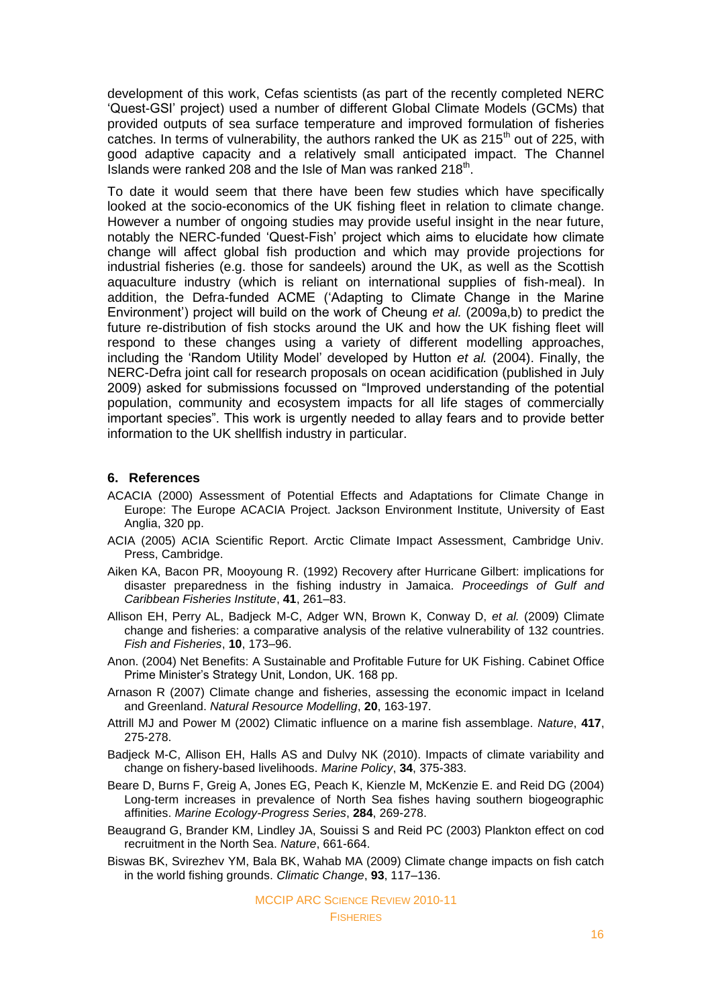development of this work, Cefas scientists (as part of the recently completed NERC ‗Quest-GSI' project) used a number of different Global Climate Models (GCMs) that provided outputs of sea surface temperature and improved formulation of fisheries catches. In terms of vulnerability, the authors ranked the UK as  $215<sup>th</sup>$  out of 225, with good adaptive capacity and a relatively small anticipated impact. The Channel Islands were ranked 208 and the Isle of Man was ranked 218<sup>th</sup>.

To date it would seem that there have been few studies which have specifically looked at the socio-economics of the UK fishing fleet in relation to climate change. However a number of ongoing studies may provide useful insight in the near future, notably the NERC-funded 'Quest-Fish' project which aims to elucidate how climate change will affect global fish production and which may provide projections for industrial fisheries (e.g. those for sandeels) around the UK, as well as the Scottish aquaculture industry (which is reliant on international supplies of fish-meal). In addition, the Defra-funded ACME (‗Adapting to Climate Change in the Marine Environment') project will build on the work of Cheung *et al.* (2009a,b) to predict the future re-distribution of fish stocks around the UK and how the UK fishing fleet will respond to these changes using a variety of different modelling approaches, including the ‗Random Utility Model' developed by Hutton *et al.* (2004). Finally, the NERC-Defra joint call for research proposals on ocean acidification (published in July 2009) asked for submissions focussed on "Improved understanding of the potential population, community and ecosystem impacts for all life stages of commercially important species". This work is urgently needed to allay fears and to provide better information to the UK shellfish industry in particular.

#### **6. References**

- ACACIA (2000) Assessment of Potential Effects and Adaptations for Climate Change in Europe: The Europe ACACIA Project. Jackson Environment Institute, University of East Anglia, 320 pp.
- ACIA (2005) ACIA Scientific Report. Arctic Climate Impact Assessment, Cambridge Univ. Press, Cambridge.
- Aiken KA, Bacon PR, Mooyoung R. (1992) Recovery after Hurricane Gilbert: implications for disaster preparedness in the fishing industry in Jamaica. *Proceedings of Gulf and Caribbean Fisheries Institute*, **41**, 261–83.
- Allison EH, Perry AL, Badjeck M-C, Adger WN, Brown K, Conway D, *et al.* (2009) Climate change and fisheries: a comparative analysis of the relative vulnerability of 132 countries. *Fish and Fisheries*, **10**, 173–96.
- Anon. (2004) Net Benefits: A Sustainable and Profitable Future for UK Fishing. Cabinet Office Prime Minister's Strategy Unit, London, UK. 168 pp.
- Arnason R (2007) Climate change and fisheries, assessing the economic impact in Iceland and Greenland. *Natural Resource Modelling*, **20**, 163-197.
- Attrill MJ and Power M (2002) Climatic influence on a marine fish assemblage. *Nature*, **417**, 275-278.
- Badjeck M-C, Allison EH, Halls AS and Dulvy NK (2010). Impacts of climate variability and change on fishery-based livelihoods. *Marine Policy*, **34**, 375-383.
- Beare D, Burns F, Greig A, Jones EG, Peach K, Kienzle M, McKenzie E. and Reid DG (2004) Long-term increases in prevalence of North Sea fishes having southern biogeographic affinities. *Marine Ecology-Progress Series*, **284**, 269-278.
- Beaugrand G, Brander KM, Lindley JA, Souissi S and Reid PC (2003) Plankton effect on cod recruitment in the North Sea. *Nature*, 661-664.
- Biswas BK, Svirezhev YM, Bala BK, Wahab MA (2009) Climate change impacts on fish catch in the world fishing grounds. *Climatic Change*, **93**, 117–136.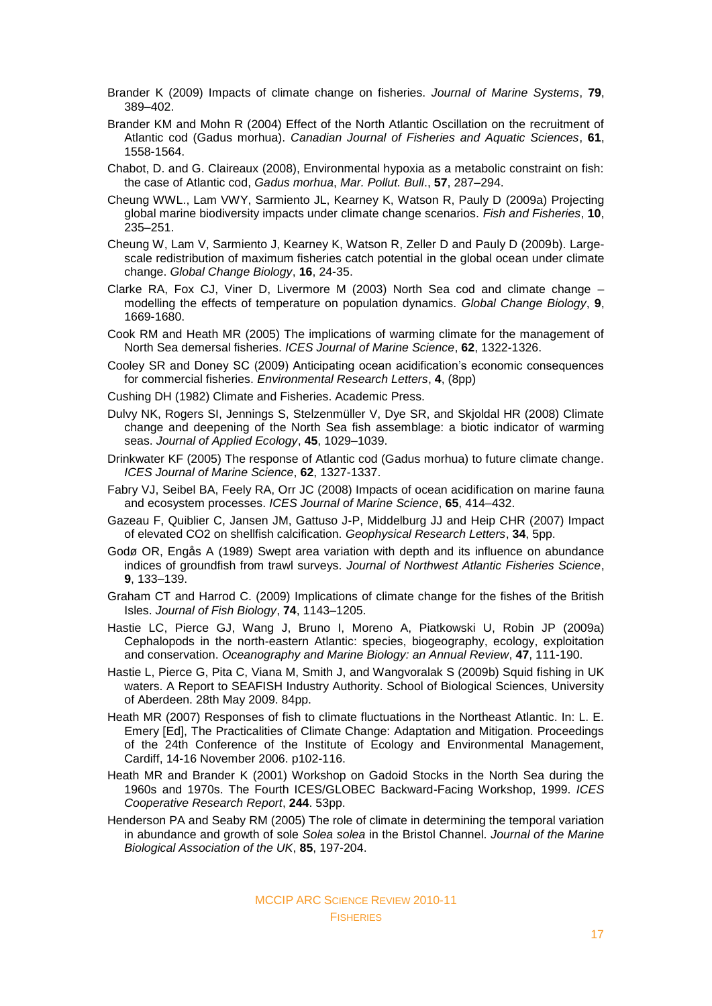- Brander K (2009) Impacts of climate change on fisheries. *Journal of Marine Systems*, **79**, 389–402.
- Brander KM and Mohn R (2004) Effect of the North Atlantic Oscillation on the recruitment of Atlantic cod (Gadus morhua). *Canadian Journal of Fisheries and Aquatic Sciences*, **61**, 1558-1564.
- Chabot, D. and G. Claireaux (2008), Environmental hypoxia as a metabolic constraint on fish: the case of Atlantic cod, *Gadus morhua*, *Mar. Pollut. Bull*., **57**, 287–294.
- Cheung WWL., Lam VWY, Sarmiento JL, Kearney K, Watson R, Pauly D (2009a) Projecting global marine biodiversity impacts under climate change scenarios. *Fish and Fisheries*, **10**, 235–251.
- Cheung W, Lam V, Sarmiento J, Kearney K, Watson R, Zeller D and Pauly D (2009b). Largescale redistribution of maximum fisheries catch potential in the global ocean under climate change. *Global Change Biology*, **16**, 24-35.
- Clarke RA, Fox CJ, Viner D, Livermore M (2003) North Sea cod and climate change modelling the effects of temperature on population dynamics. *Global Change Biology*, **9**, 1669-1680.
- Cook RM and Heath MR (2005) The implications of warming climate for the management of North Sea demersal fisheries. *ICES Journal of Marine Science*, **62**, 1322-1326.
- Cooley SR and Doney SC (2009) Anticipating ocean acidification's economic consequences for commercial fisheries. *Environmental Research Letters*, **4**, (8pp)
- Cushing DH (1982) Climate and Fisheries. Academic Press.
- Dulvy NK, Rogers SI, Jennings S, Stelzenmüller V, Dye SR, and Skjoldal HR (2008) Climate change and deepening of the North Sea fish assemblage: a biotic indicator of warming seas. *Journal of Applied Ecology*, **45**, 1029–1039.
- Drinkwater KF (2005) The response of Atlantic cod (Gadus morhua) to future climate change. *ICES Journal of Marine Science*, **62**, 1327-1337.
- Fabry VJ, Seibel BA, Feely RA, Orr JC (2008) Impacts of ocean acidification on marine fauna and ecosystem processes. *ICES Journal of Marine Science*, **65**, 414–432.
- Gazeau F, Quiblier C, Jansen JM, Gattuso J-P, Middelburg JJ and Heip CHR (2007) Impact of elevated CO2 on shellfish calcification. *Geophysical Research Letters*, **34**, 5pp.
- Godø OR, Engås A (1989) Swept area variation with depth and its influence on abundance indices of groundfish from trawl surveys. *Journal of Northwest Atlantic Fisheries Science*, **9**, 133–139.
- Graham CT and Harrod C. (2009) Implications of climate change for the fishes of the British Isles. *Journal of Fish Biology*, **74**, 1143–1205.
- Hastie LC, [Pierce GJ,](http://csaweb116v.csa.com/ids70/p_search_form.php?field=au&query=pierce+gj&log=literal&SID=55cqejffqf54mf21vfku7q54e5) [Wang J,](http://csaweb116v.csa.com/ids70/p_search_form.php?field=au&query=wang+j&log=literal&SID=55cqejffqf54mf21vfku7q54e5) [Bruno I,](http://csaweb116v.csa.com/ids70/p_search_form.php?field=au&query=bruno+i&log=literal&SID=55cqejffqf54mf21vfku7q54e5) [Moreno A,](http://csaweb116v.csa.com/ids70/p_search_form.php?field=au&query=moreno+a&log=literal&SID=55cqejffqf54mf21vfku7q54e5) [Piatkowski U,](http://csaweb116v.csa.com/ids70/p_search_form.php?field=au&query=piatkowski+u&log=literal&SID=55cqejffqf54mf21vfku7q54e5) [Robin JP](http://csaweb116v.csa.com/ids70/p_search_form.php?field=au&query=robin+jp&log=literal&SID=55cqejffqf54mf21vfku7q54e5) (2009a) Cephalopods in the north-eastern Atlantic: species, biogeography, ecology, exploitation and conservation. *Oceanography and Marine Biology: an Annual Review*, **47**, 111-190.
- Hastie L, Pierce G, Pita C, Viana M, Smith J, and Wangvoralak S (2009b) Squid fishing in UK waters. A Report to SEAFISH Industry Authority. School of Biological Sciences, University of Aberdeen. 28th May 2009. 84pp.
- Heath MR (2007) Responses of fish to climate fluctuations in the Northeast Atlantic. In: L. E. Emery [Ed], The Practicalities of Climate Change: Adaptation and Mitigation. Proceedings of the 24th Conference of the Institute of Ecology and Environmental Management, Cardiff, 14-16 November 2006. p102-116.
- Heath MR and Brander K (2001) Workshop on Gadoid Stocks in the North Sea during the 1960s and 1970s. The Fourth ICES/GLOBEC Backward-Facing Workshop, 1999. *ICES Cooperative Research Report*, **244**. 53pp.
- Henderson PA and Seaby RM (2005) The role of climate in determining the temporal variation in abundance and growth of sole *Solea solea* in the Bristol Channel. *Journal of the Marine Biological Association of the UK*, **85**, 197-204.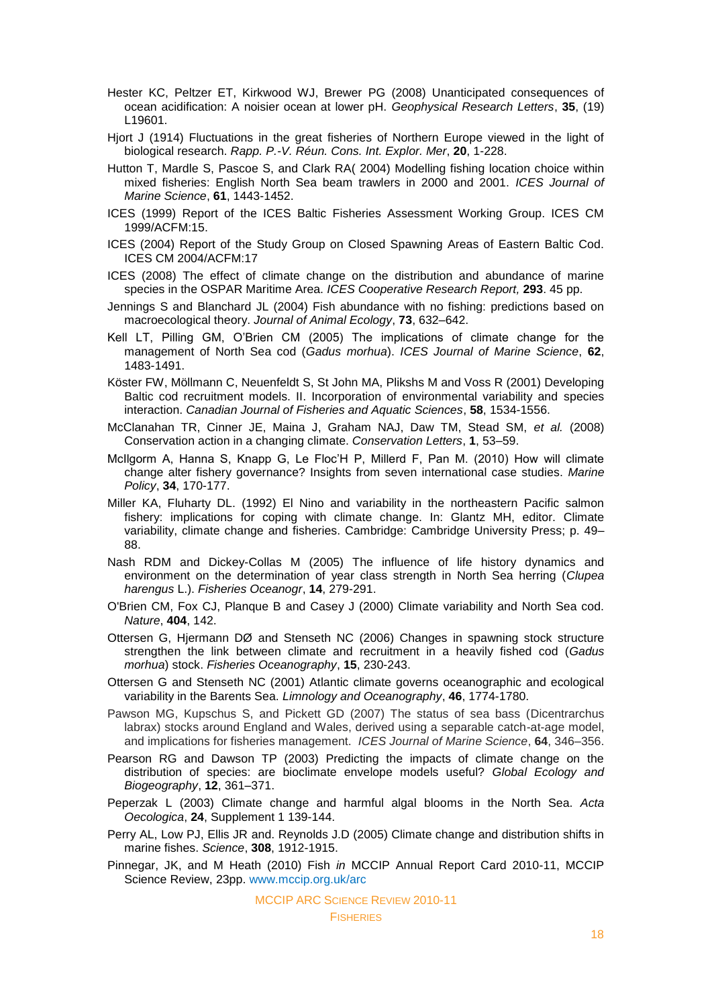- Hester KC, Peltzer ET, Kirkwood WJ, Brewer PG (2008) Unanticipated consequences of ocean acidification: A noisier ocean at lower pH. *Geophysical Research Letters*, **35**, (19) L19601.
- Hjort J (1914) Fluctuations in the great fisheries of Northern Europe viewed in the light of biological research. *Rapp. P.-V. Réun. Cons. Int. Explor. Mer*, **20**, 1-228.
- Hutton T, Mardle S, Pascoe S, and Clark RA( 2004) Modelling fishing location choice within mixed fisheries: English North Sea beam trawlers in 2000 and 2001. *ICES Journal of Marine Science*, **61**, 1443-1452.
- ICES (1999) Report of the ICES Baltic Fisheries Assessment Working Group. ICES CM 1999/ACFM:15.
- ICES (2004) Report of the Study Group on Closed Spawning Areas of Eastern Baltic Cod. ICES CM 2004/ACFM:17
- ICES (2008) The effect of climate change on the distribution and abundance of marine species in the OSPAR Maritime Area. *ICES Cooperative Research Report,* **293**. 45 pp.
- Jennings S and Blanchard JL (2004) Fish abundance with no fishing: predictions based on macroecological theory. *Journal of Animal Ecology*, **73**, 632–642.
- Kell LT, Pilling GM, O'Brien CM (2005) The implications of climate change for the management of North Sea cod (*Gadus morhua*). *ICES Journal of Marine Science*, **62**, 1483-1491.
- Köster FW, Möllmann C, Neuenfeldt S, St John MA, Plikshs M and Voss R (2001) Developing Baltic cod recruitment models. II. Incorporation of environmental variability and species interaction. *Canadian Journal of Fisheries and Aquatic Sciences*, **58**, 1534-1556.
- McClanahan TR, Cinner JE, Maina J, Graham NAJ, Daw TM, Stead SM, *et al.* (2008) Conservation action in a changing climate. *Conservation Letters*, **1**, 53–59.
- McIlgorm A, Hanna S, Knapp G, Le Floc'H P, Millerd F, Pan M. (2010) How will climate change alter fishery governance? Insights from seven international case studies. *Marine Policy*, **34**, 170-177.
- Miller KA, Fluharty DL. (1992) El Nino and variability in the northeastern Pacific salmon fishery: implications for coping with climate change. In: Glantz MH, editor. Climate variability, climate change and fisheries. Cambridge: Cambridge University Press; p. 49– 88.
- Nash RDM and Dickey-Collas M (2005) The influence of life history dynamics and environment on the determination of year class strength in North Sea herring (*Clupea harengus* L.). *Fisheries Oceanogr*, **14**, 279-291.
- O'Brien CM, Fox CJ, Planque B and Casey J (2000) Climate variability and North Sea cod. *Nature*, **404**, 142.
- Ottersen G, Hjermann DØ and Stenseth NC (2006) Changes in spawning stock structure strengthen the link between climate and recruitment in a heavily fished cod (*Gadus morhua*) stock. *Fisheries Oceanography*, **15**, 230-243.
- Ottersen G and Stenseth NC (2001) Atlantic climate governs oceanographic and ecological variability in the Barents Sea. *Limnology and Oceanography*, **46**, 1774-1780.
- Pawson MG, Kupschus S, and Pickett GD (2007) The status of sea bass (Dicentrarchus labrax) stocks around England and Wales, derived using a separable catch-at-age model, and implications for fisheries management. *ICES Journal of Marine Science*, **64**, 346–356.
- Pearson RG and Dawson TP (2003) Predicting the impacts of climate change on the distribution of species: are bioclimate envelope models useful? *Global Ecology and Biogeography*, **12**, 361–371.
- Peperzak L (2003) Climate change and harmful algal blooms in the North Sea. *Acta Oecologica*, **24**, Supplement 1 139-144.
- Perry AL, Low PJ, Ellis JR and. Reynolds J.D (2005) Climate change and distribution shifts in marine fishes. *Science*, **308**, 1912-1915.
- Pinnegar, JK, and M Heath (2010) Fish *in* MCCIP Annual Report Card 2010-11, MCCIP Science Review, 23pp. [www.mccip.org.uk/arc](http://www.mccip.org.uk/arc)

MCCIP ARC SCIENCE REVIEW 2010-11